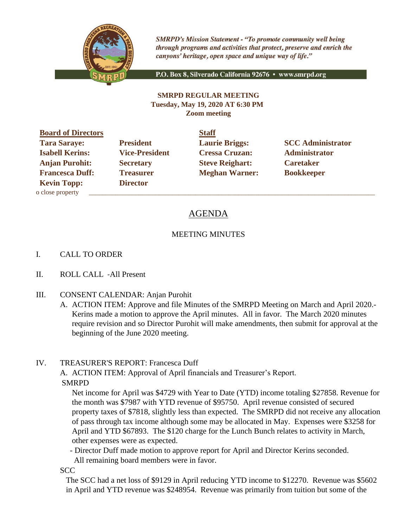

**SMRPD's Mission Statement - "To promote community well being** through programs and activities that protect, preserve and enrich the canyons' heritage, open space and unique way of life."

P.O. Box 8, Silverado California 92676 · www.smrpd.org

#### **SMRPD REGULAR MEETING Tuesday, May 19, 2020 AT 6:30 PM Zoom meeting**

**Board of Directors Staff Isabell Kerins: Vice-President Cressa Cruzan: Administrator Anjan Purohit: Secretary Steve Reighart: Caretaker Francesca Duff:** Treasurer **Meghan Warner:** Bookkeeper **Kevin Topp: Director**  o close property \_\_\_\_\_\_\_\_\_\_\_\_\_\_\_\_\_\_\_\_\_\_\_\_\_\_\_\_\_\_\_\_\_\_\_\_\_\_\_\_\_\_\_\_\_\_\_\_\_\_\_\_\_\_\_\_\_\_\_\_\_\_\_\_\_\_\_\_\_\_\_\_\_\_\_\_\_\_\_\_\_\_\_\_\_\_

**Tara Saraye: President Laurie Briggs: SCC Administrator** 

# AGENDA

# MEETING MINUTES

## I. CALL TO ORDER

- II. ROLL CALL -All Present
- III. CONSENT CALENDAR: Anjan Purohit
	- A. ACTION ITEM: Approve and file Minutes of the SMRPD Meeting on March and April 2020.- Kerins made a motion to approve the April minutes. All in favor. The March 2020 minutes require revision and so Director Purohit will make amendments, then submit for approval at the beginning of the June 2020 meeting.

## IV. TREASURER'S REPORT: Francesca Duff

A. ACTION ITEM: Approval of April financials and Treasurer's Report.

SMRPD

Net income for April was \$4729 with Year to Date (YTD) income totaling \$27858. Revenue for the month was \$7987 with YTD revenue of \$95750. April revenue consisted of secured property taxes of \$7818, slightly less than expected. The SMRPD did not receive any allocation of pass through tax income although some may be allocated in May. Expenses were \$3258 for April and YTD \$67893. The \$120 charge for the Lunch Bunch relates to activity in March, other expenses were as expected.

- Director Duff made motion to approve report for April and Director Kerins seconded.

All remaining board members were in favor.

**SCC** 

The SCC had a net loss of \$9129 in April reducing YTD income to \$12270. Revenue was \$5602 in April and YTD revenue was \$248954. Revenue was primarily from tuition but some of the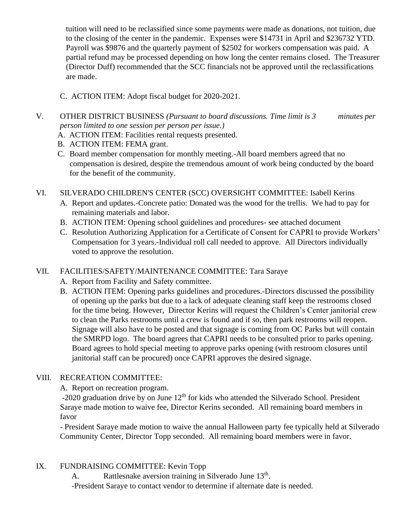tuition will need to be reclassified since some payments were made as donations, not tuition, due to the closing of the center in the pandemic. Expenses were \$14731 in April and \$236732 YTD. Payroll was \$9876 and the quarterly payment of \$2502 for workers compensation was paid. A partial refund may be processed depending on how long the center remains closed. The Treasurer (Director Duff) recommended that the SCC financials not be approved until the reclassifications are made.

- C. ACTION ITEM: Adopt fiscal budget for 2020-2021.
- V. OTHER DISTRICT BUSINESS *(Pursuant to board discussions. Time limit is 3 minutes per person limited to one session per person per issue.)*
	- A. ACTION ITEM: Facilities rental requests presented.
	- B. ACTION ITEM: FEMA grant.
	- C. Board member compensation for monthly meeting.-All board members agreed that no compensation is desired, despite the tremendous amount of work being conducted by the board for the benefit of the community.

## VI. SILVERADO CHILDREN'S CENTER (SCC) OVERSIGHT COMMITTEE: Isabell Kerins

- A. Report and updates.-Concrete patio: Donated was the wood for the trellis. We had to pay for remaining materials and labor.
- B. ACTION ITEM: Opening school guidelines and procedures- see attached document
- C. Resolution Authorizing Application for a Certificate of Consent for CAPRI to provide Workers' Compensation for 3 years.-Individual roll call needed to approve. All Directors individually voted to approve the resolution.

# VII. FACILITIES/SAFETY/MAINTENANCE COMMITTEE: Tara Saraye

- A. Report from Facility and Safety committee.
- B. ACTION ITEM: Opening parks guidelines and procedures.-Directors discussed the possibility of opening up the parks but due to a lack of adequate cleaning staff keep the restrooms closed for the time being. However, Director Kerins will request the Children's Center janitorial crew to clean the Parks restrooms until a crew is found and if so, then park restrooms will reopen. Signage will also have to be posted and that signage is coming from OC Parks but will contain the SMRPD logo. The board agrees that CAPRI needs to be consulted prior to parks opening. Board agrees to hold special meeting to approve parks opening (with restroom closures until janitorial staff can be procured) once CAPRI approves the desired signage.

# VIII. RECREATION COMMITTEE:

A. Report on recreation program.

 $-2020$  graduation drive by on June  $12<sup>th</sup>$  for kids who attended the Silverado School. President Saraye made motion to waive fee, Director Kerins seconded. All remaining board members in favor

- President Saraye made motion to waive the annual Halloween party fee typically held at Silverado Community Center, Director Topp seconded. All remaining board members were in favor.

# IX. FUNDRAISING COMMITTEE: Kevin Topp

A. Rattlesnake aversion training in Silverado June 13<sup>th</sup>.

-President Saraye to contact vendor to determine if alternate date is needed.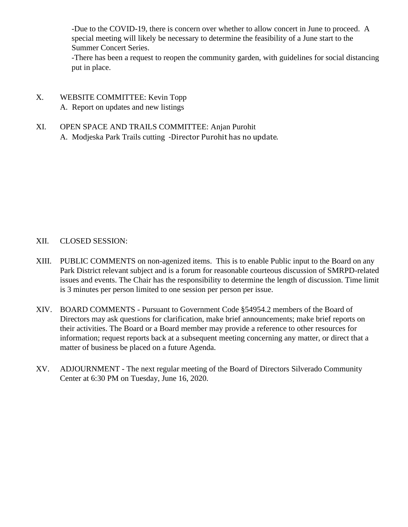-Due to the COVID-19, there is concern over whether to allow concert in June to proceed. A special meeting will likely be necessary to determine the feasibility of a June start to the Summer Concert Series.

-There has been a request to reopen the community garden, with guidelines for social distancing put in place.

- X. WEBSITE COMMITTEE: Kevin Topp A. Report on updates and new listings
- XI. OPEN SPACE AND TRAILS COMMITTEE: Anjan Purohit A. Modjeska Park Trails cutting -Director Purohit has no update.

## XII. CLOSED SESSION:

- XIII. PUBLIC COMMENTS on non-agenized items. This is to enable Public input to the Board on any Park District relevant subject and is a forum for reasonable courteous discussion of SMRPD-related issues and events. The Chair has the responsibility to determine the length of discussion. Time limit is 3 minutes per person limited to one session per person per issue.
- XIV. BOARD COMMENTS Pursuant to Government Code §54954.2 members of the Board of Directors may ask questions for clarification, make brief announcements; make brief reports on their activities. The Board or a Board member may provide a reference to other resources for information; request reports back at a subsequent meeting concerning any matter, or direct that a matter of business be placed on a future Agenda.
- XV. ADJOURNMENT The next regular meeting of the Board of Directors Silverado Community Center at 6:30 PM on Tuesday, June 16, 2020.